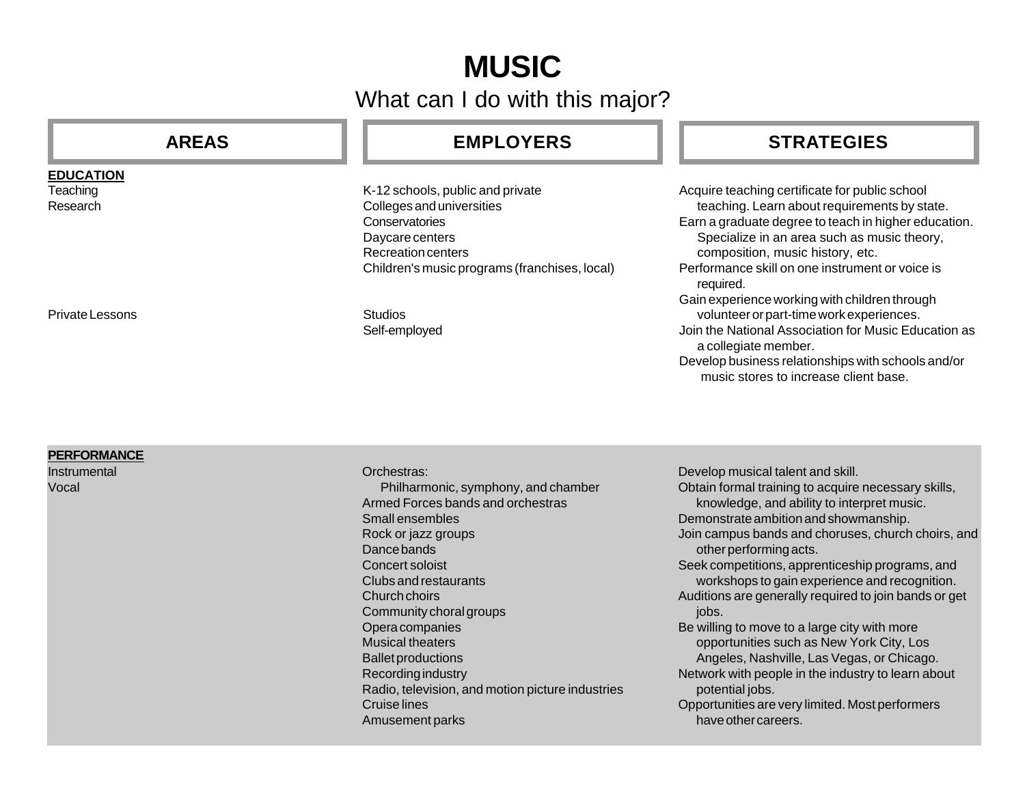# **MUSIC**

What can I do with this major?

## **AREAS**

### **EDUCATION**

**Teaching** Research

### Private Lessons

### **PERFORMANCE**

**Instrumental** Vocal

## **EMPLOYERS**

K-12 schools, public and private Colleges and universities **Conservatories** Daycare centers Recreation centers Children's music programs (franchises, local)

Studios Self-employed

## **STRATEGIES**

Acquire teaching certificate for public school teaching. Learn about requirements by state. Earn a graduate degree to teach in higher education. Specialize in an area such as music theory, composition, music history, etc. Performance skill on one instrument or voice is required. Gain experience working with children through volunteer or part-time work experiences. Join the National Association for Music Education as a collegiate member. Develop business relationships with schools and/or music stores to increase client base.

Orchestras: Philharmonic, symphony, and chamber Armed Forces bands and orchestras Small ensembles Rock or jazz groups Dance bands Concert soloist Clubs and restaurants Church choirs Community choral groups Opera companies Musical theaters Ballet productions Recording industry Radio, television, and motion picture industries Cruise lines Amusement parks

Develop musical talent and skill. Obtain formal training to acquire necessary skills, knowledge, and ability to interpret music. Demonstrate ambition and showmanship. Join campus bands and choruses, church choirs, and other performing acts. Seek competitions, apprenticeship programs, and workshops to gain experience and recognition. Auditions are generally required to join bands or get jobs. Be willing to move to a large city with more opportunities such as New York City, Los Angeles, Nashville, Las Vegas, or Chicago. Network with people in the industry to learn about potential jobs. Opportunities are very limited. Most performers have other careers.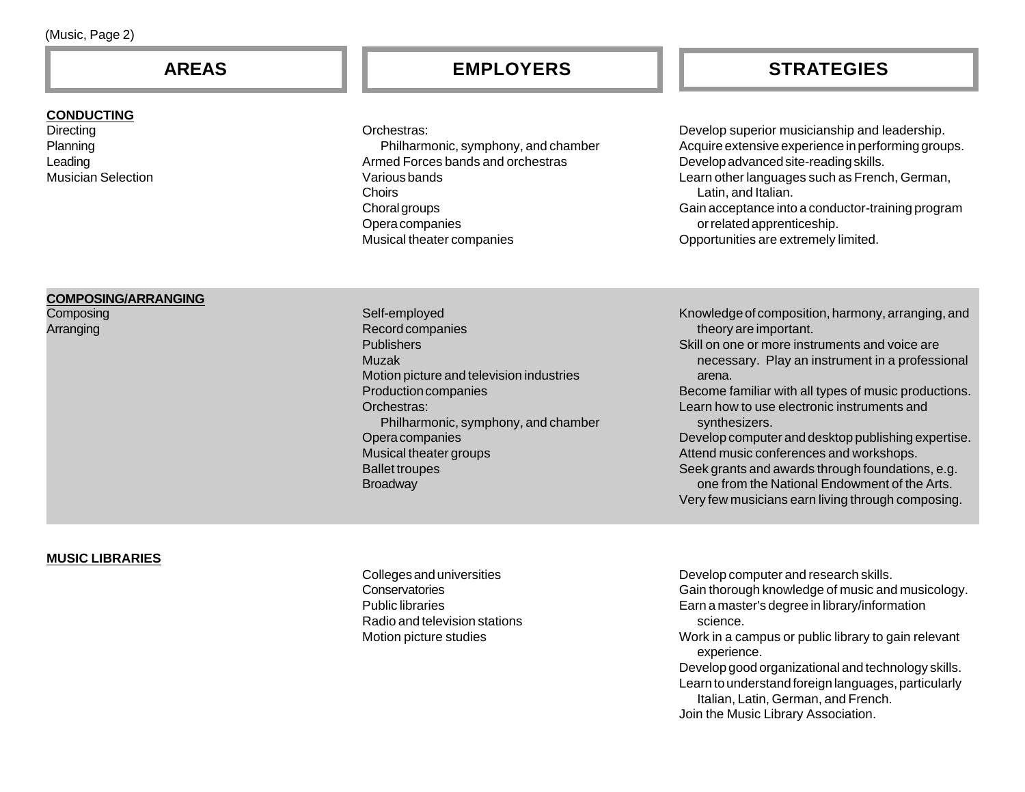#### **CONDUCTING**

**Directing** Planning Leading Musician Selection

Orchestras:

Philharmonic, symphony, and chamber Armed Forces bands and orchestras Various bands Choirs Choral groups Opera companies Musical theater companies

**AREAS EMPLOYERS STRATEGIES**

Develop superior musicianship and leadership. Acquire extensive experience in performing groups. Develop advanced site-reading skills. Learn other languages such as French, German, Latin, and Italian. Gain acceptance into a conductor-training program or related apprenticeship. Opportunities are extremely limited.

#### **COMPOSING/ARRANGING**

**Composing** Arranging

Self-employed Record companies **Publishers** Muzak Motion picture and television industries Production companies Orchestras: Philharmonic, symphony, and chamber Opera companies Musical theater groups Ballet troupes **Broadway** 

Knowledge of composition, harmony, arranging, and theory are important.

Skill on one or more instruments and voice are necessary. Play an instrument in a professional arena.

Become familiar with all types of music productions. Learn how to use electronic instruments and synthesizers.

Develop computer and desktop publishing expertise. Attend music conferences and workshops. Seek grants and awards through foundations, e.g. one from the National Endowment of the Arts. Very few musicians earn living through composing.

#### **MUSIC LIBRARIES**

Colleges and universities Conservatories Public libraries Radio and television stations Motion picture studies

Develop computer and research skills. Gain thorough knowledge of music and musicology. Earn a master's degree in library/information science. Work in a campus or public library to gain relevant experience. Develop good organizational and technology skills. Learn to understand foreign languages, particularly Italian, Latin, German, and French. Join the Music Library Association.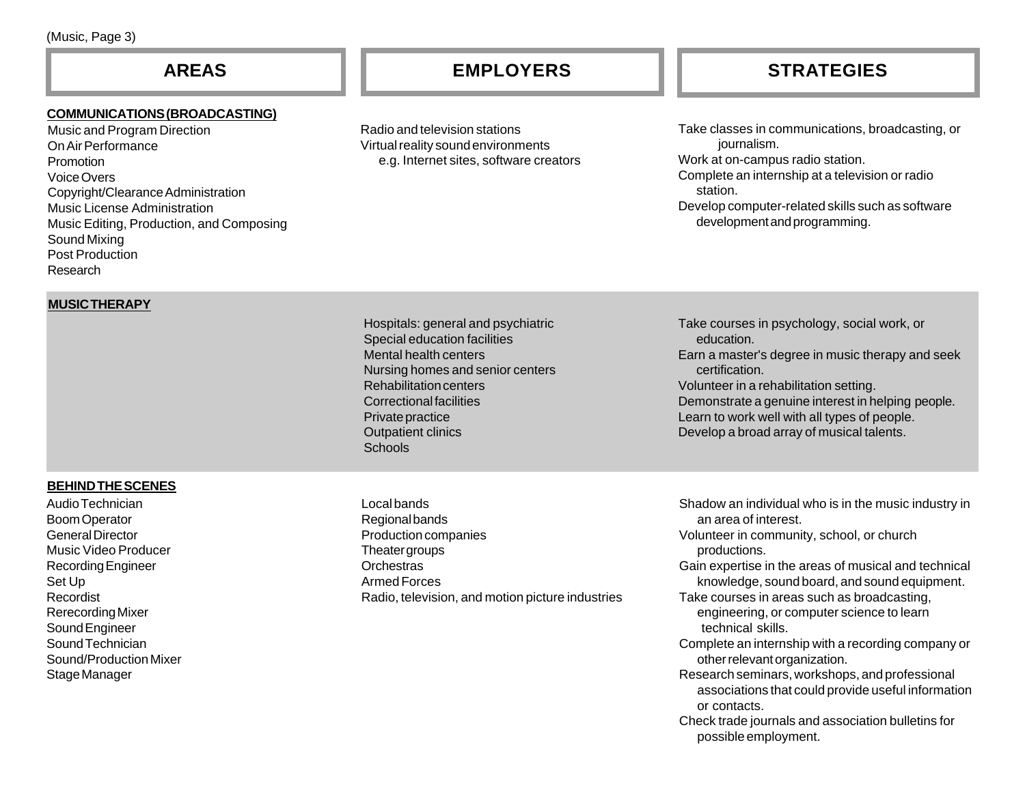## **AREAS**

#### **COMMUNICATIONS (BROADCASTING)**

Music and Program Direction On Air Performance Promotion Voice Overs Copyright/Clearance Administration Music License Administration Music Editing, Production, and Composing Sound Mixing Post Production Research

Radio and television stations Virtual reality sound environments e.g. Internet sites, software creators

## **EMPLOYERS STRATEGIES**

Take classes in communications, broadcasting, or journalism. Work at on-campus radio station. Complete an internship at a television or radio station. Develop computer-related skills such as software development and programming.

#### **MUSIC THERAPY**

Hospitals: general and psychiatric Special education facilities Mental health centers Nursing homes and senior centers Rehabilitation centers Correctional facilities Private practice Outpatient clinics **Schools** 

Local bands Regional bands Production companies Theater groups Orchestras Armed Forces Radio, television, and motion picture industries Take courses in psychology, social work, or education. Earn a master's degree in music therapy and seek certification. Volunteer in a rehabilitation setting. Demonstrate a genuine interest in helping people. Learn to work well with all types of people. Develop a broad array of musical talents.

Shadow an individual who is in the music industry in an area of interest. Volunteer in community, school, or church productions. Gain expertise in the areas of musical and technical knowledge, sound board, and sound equipment. Take courses in areas such as broadcasting, engineering, or computer science to learn technical skills. Complete an internship with a recording company or other relevant organization. Research seminars, workshops, and professional associations that could provide useful information or contacts. Check trade journals and association bulletins for possible employment.

### **BEHIND THE SCENES**

Audio Technician Boom Operator General Director Music Video Producer Recording Engineer Set Up Recordist Rerecording Mixer Sound Engineer Sound Technician Sound/Production Mixer Stage Manager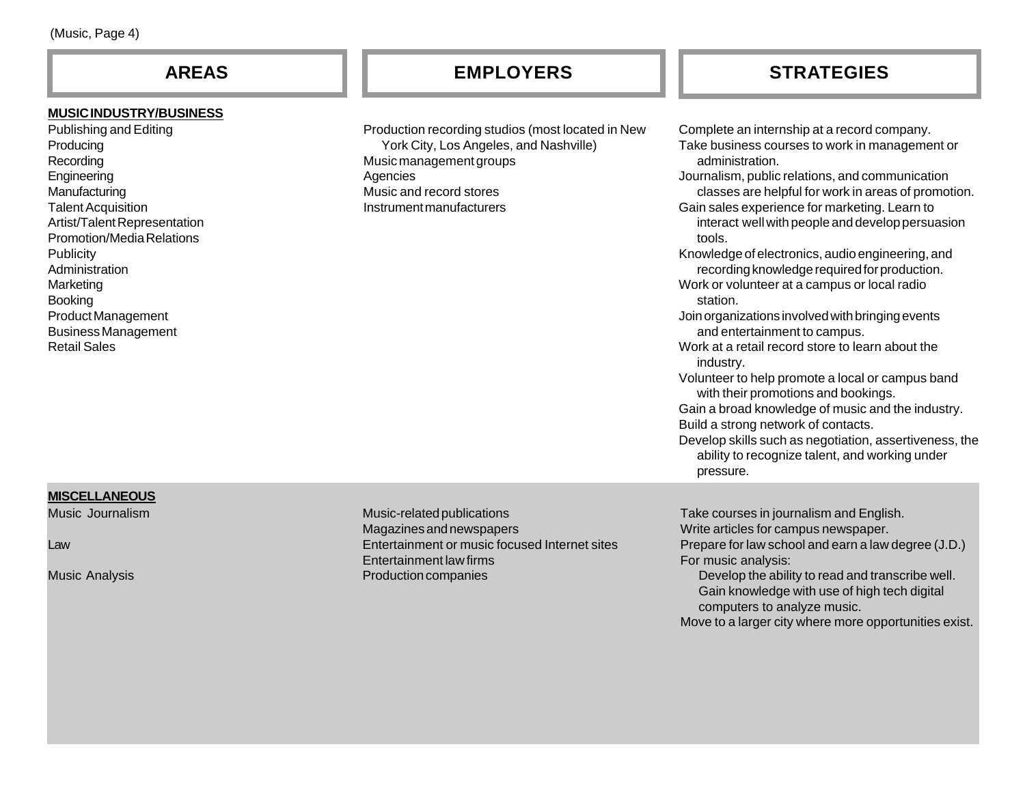### **MUSIC INDUSTRY/BUSINESS**

Publishing and Editing **Producing** Recording **Engineering Manufacturing** Talent Acquisition Artist/Talent Representation Promotion/Media Relations **Publicity** Administration Marketing Booking Product Management Business Management Retail Sales

Production recording studios (most located in New York City, Los Angeles, and Nashville) Music management groups Agencies Music and record stores Instrument manufacturers

## **AREAS EMPLOYERS STRATEGIES**

Complete an internship at a record company. Take business courses to work in management or administration. Journalism, public relations, and communication classes are helpful for work in areas of promotion. Gain sales experience for marketing. Learn to interact well with people and develop persuasion tools. Knowledge of electronics, audio engineering, and recording knowledge required for production. Work or volunteer at a campus or local radio station. Join organizations involved with bringing events and entertainment to campus. Work at a retail record store to learn about the industry. Volunteer to help promote a local or campus band with their promotions and bookings. Gain a broad knowledge of music and the industry. Build a strong network of contacts. Develop skills such as negotiation, assertiveness, the ability to recognize talent, and working under pressure.

#### **MISCELLANEOUS**

Music Journalism

Law

Music Analysis

Music-related publications Magazines and newspapers Entertainment or music focused Internet sites Entertainment law firms Production companies

Take courses in journalism and English. Write articles for campus newspaper. Prepare for law school and earn a law degree (J.D.) For music analysis: Develop the ability to read and transcribe well. Gain knowledge with use of high tech digital computers to analyze music. Move to a larger city where more opportunities exist.